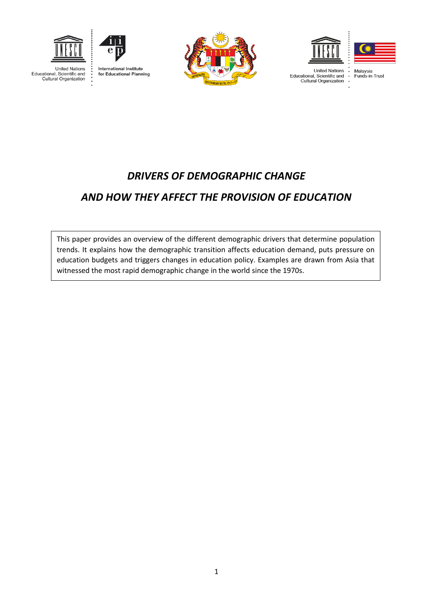

**United Nations** 

Educational, Scientific and

Cultural Organization



**International Institute** for Educational Planning







**United Nations** Drilled Nations<br>Educational, Scientific and<br>Cultural Organization Malaysia<br>Funds-in-Trust

# *DRIVERS OF DEMOGRAPHIC CHANGE AND HOW THEY AFFECT THE PROVISION OF EDUCATION*

This paper provides an overview of the different demographic drivers that determine population trends. It explains how the demographic transition affects education demand, puts pressure on education budgets and triggers changes in education policy. Examples are drawn from Asia that witnessed the most rapid demographic change in the world since the 1970s.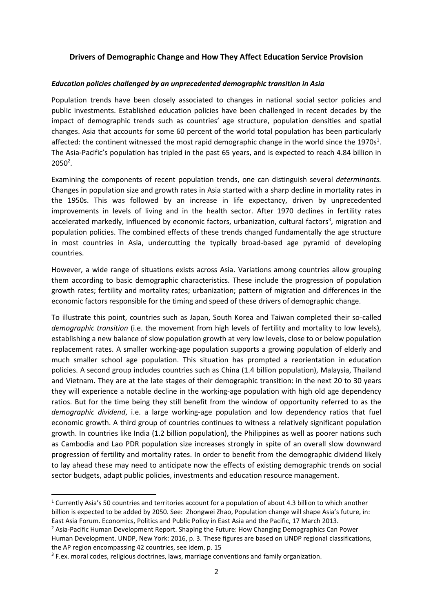# **Drivers of Demographic Change and How They Affect Education Service Provision**

#### *Education policies challenged by an unprecedented demographic transition in Asia*

Population trends have been closely associated to changes in national social sector policies and public investments. Established education policies have been challenged in recent decades by the impact of demographic trends such as countries' age structure, population densities and spatial changes. Asia that accounts for some 60 percent of the world total population has been particularly affected: the continent witnessed the most rapid demographic change in the world since the 1970s<sup>1</sup>. The Asia-Pacific's population has tripled in the past 65 years, and is expected to reach 4.84 billion in  $2050<sup>2</sup>$ .

Examining the components of recent population trends, one can distinguish several *determinants.* Changes in population size and growth rates in Asia started with a sharp decline in mortality rates in the 1950s. This was followed by an increase in life expectancy, driven by unprecedented improvements in levels of living and in the health sector. After 1970 declines in fertility rates accelerated markedly, influenced by economic factors, urbanization, cultural factors<sup>3</sup>, migration and population policies. The combined effects of these trends changed fundamentally the age structure in most countries in Asia, undercutting the typically broad-based age pyramid of developing countries.

However, a wide range of situations exists across Asia. Variations among countries allow grouping them according to basic demographic characteristics. These include the progression of population growth rates; fertility and mortality rates; urbanization; pattern of migration and differences in the economic factors responsible for the timing and speed of these drivers of demographic change.

To illustrate this point, countries such as Japan, South Korea and Taiwan completed their so-called *demographic transition* (i.e. the movement from high levels of fertility and mortality to low levels), establishing a new balance of slow population growth at very low levels, close to or below population replacement rates. A smaller working-age population supports a growing population of elderly and much smaller school age population. This situation has prompted a reorientation in education policies. A second group includes countries such as China (1.4 billion population), Malaysia, Thailand and Vietnam. They are at the late stages of their demographic transition: in the next 20 to 30 years they will experience a notable decline in the working-age population with high old age dependency ratios. But for the time being they still benefit from the window of opportunity referred to as the *demographic dividend*, i.e. a large working-age population and low dependency ratios that fuel economic growth. A third group of countries continues to witness a relatively significant population growth. In countries like India (1.2 billion population), the Philippines as well as poorer nations such as Cambodia and Lao PDR population size increases strongly in spite of an overall slow downward progression of fertility and mortality rates. In order to benefit from the demographic dividend likely to lay ahead these may need to anticipate now the effects of existing demographic trends on social sector budgets, adapt public policies, investments and education resource management.

**.** 

<sup>1</sup> Currently Asia's 50 countries and territories account for a population of about 4.3 billion to which another billion is expected to be added by 2050. See: Zhongwei Zhao, Population change will shape Asia's future, in: East Asia Forum. Economics, Politics and Public Policy in East Asia and the Pacific, 17 March 2013.

<sup>&</sup>lt;sup>2</sup> Asia-Pacific Human Development Report. Shaping the Future: How Changing Demographics Can Power Human Development. UNDP, New York: 2016, p. 3. These figures are based on UNDP regional classifications, the AP region encompassing 42 countries, see idem, p. 15

<sup>&</sup>lt;sup>3</sup> F.ex. moral codes, religious doctrines, laws, marriage conventions and family organization.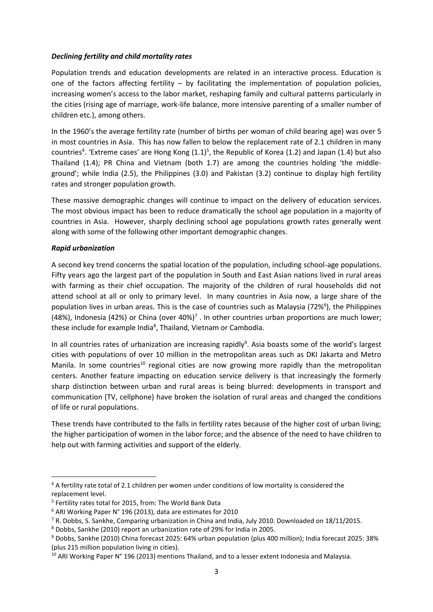#### *Declining fertility and child mortality rates*

Population trends and education developments are related in an interactive process. Education is one of the factors affecting fertility – by facilitating the implementation of population policies, increasing women's access to the labor market, reshaping family and cultural patterns particularly in the cities (rising age of marriage, work-life balance, more intensive parenting of a smaller number of children etc.), among others.

In the 1960's the average fertility rate (number of births per woman of child bearing age) was over 5 in most countries in Asia. This has now fallen to below the replacement rate of 2.1 children in many countries<sup>4</sup>. 'Extreme cases' are Hong Kong  $(1.1)^5$ , the Republic of Korea (1.2) and Japan (1.4) but also Thailand (1.4); PR China and Vietnam (both 1.7) are among the countries holding 'the middleground'; while India (2.5), the Philippines (3.0) and Pakistan (3.2) continue to display high fertility rates and stronger population growth.

These massive demographic changes will continue to impact on the delivery of education services. The most obvious impact has been to reduce dramatically the school age population in a majority of countries in Asia. However, sharply declining school age populations growth rates generally went along with some of the following other important demographic changes.

## *Rapid urbanization*

**.** 

A second key trend concerns the spatial location of the population, including school-age populations. Fifty years ago the largest part of the population in South and East Asian nations lived in rural areas with farming as their chief occupation. The majority of the children of rural households did not attend school at all or only to primary level. In many countries in Asia now, a large share of the population lives in urban areas. This is the case of countries such as Malaysia (72%<sup>6</sup>), the Philippines (48%), Indonesia (42%) or China (over 40%)<sup>7</sup>. In other countries urban proportions are much lower; these include for example India<sup>8</sup>, Thailand, Vietnam or Cambodia.

In all countries rates of urbanization are increasing rapidly<sup>9</sup>. Asia boasts some of the world's largest cities with populations of over 10 million in the metropolitan areas such as DKI Jakarta and Metro Manila. In some countries<sup>10</sup> regional cities are now growing more rapidly than the metropolitan centers. Another feature impacting on education service delivery is that increasingly the formerly sharp distinction between urban and rural areas is being blurred: developments in transport and communication (TV, cellphone) have broken the isolation of rural areas and changed the conditions of life or rural populations.

These trends have contributed to the falls in fertility rates because of the higher cost of urban living; the higher participation of women in the labor force; and the absence of the need to have children to help out with farming activities and support of the elderly.

<sup>4</sup> A fertility rate total of 2.1 children per women under conditions of low mortality is considered the replacement level.

<sup>5</sup> Fertility rates total for 2015, from: The World Bank Data

<sup>6</sup> ARI Working Paper N° 196 (2013), data are estimates for 2010

<sup>7</sup> R. Dobbs, S. Sankhe, Comparing urbanization in China and India, July 2010. Downloaded on 18/11/2015.

<sup>8</sup> Dobbs, Sankhe (2010) report an urbanization rate of 29% for India in 2005.

<sup>9</sup> Dobbs, Sankhe (2010) China forecast 2025: 64% urban population (plus 400 million); India forecast 2025: 38% (plus 215 million population living in cities).

<sup>&</sup>lt;sup>10</sup> ARI Working Paper N° 196 (2013) mentions Thailand, and to a lesser extent Indonesia and Malaysia.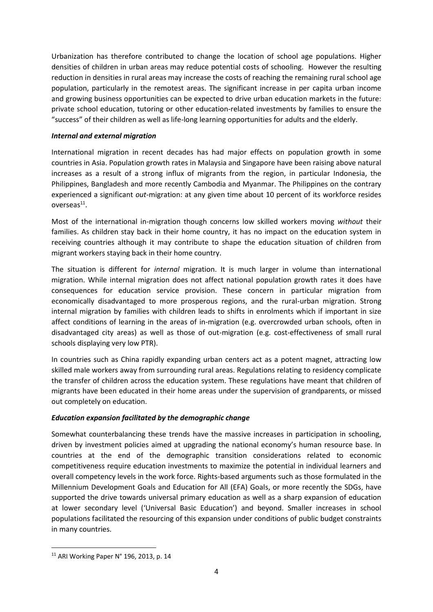Urbanization has therefore contributed to change the location of school age populations. Higher densities of children in urban areas may reduce potential costs of schooling. However the resulting reduction in densities in rural areas may increase the costs of reaching the remaining rural school age population, particularly in the remotest areas. The significant increase in per capita urban income and growing business opportunities can be expected to drive urban education markets in the future: private school education, tutoring or other education-related investments by families to ensure the "success" of their children as well as life-long learning opportunities for adults and the elderly.

# *Internal and external migration*

International migration in recent decades has had major effects on population growth in some countries in Asia. Population growth rates in Malaysia and Singapore have been raising above natural increases as a result of a strong influx of migrants from the region, in particular Indonesia, the Philippines, Bangladesh and more recently Cambodia and Myanmar. The Philippines on the contrary experienced a significant *out-*migration: at any given time about 10 percent of its workforce resides overseas<sup>11</sup>.

Most of the international in-migration though concerns low skilled workers moving *without* their families. As children stay back in their home country, it has no impact on the education system in receiving countries although it may contribute to shape the education situation of children from migrant workers staying back in their home country.

The situation is different for *internal* migration. It is much larger in volume than international migration. While internal migration does not affect national population growth rates it does have consequences for education service provision. These concern in particular migration from economically disadvantaged to more prosperous regions, and the rural-urban migration. Strong internal migration by families with children leads to shifts in enrolments which if important in size affect conditions of learning in the areas of in-migration (e.g. overcrowded urban schools, often in disadvantaged city areas) as well as those of out-migration (e.g. cost-effectiveness of small rural schools displaying very low PTR).

In countries such as China rapidly expanding urban centers act as a potent magnet, attracting low skilled male workers away from surrounding rural areas. Regulations relating to residency complicate the transfer of children across the education system. These regulations have meant that children of migrants have been educated in their home areas under the supervision of grandparents, or missed out completely on education.

# *Education expansion facilitated by the demographic change*

Somewhat counterbalancing these trends have the massive increases in participation in schooling, driven by investment policies aimed at upgrading the national economy's human resource base. In countries at the end of the demographic transition considerations related to economic competitiveness require education investments to maximize the potential in individual learners and overall competency levels in the work force. Rights-based arguments such as those formulated in the Millennium Development Goals and Education for All (EFA) Goals, or more recently the SDGs, have supported the drive towards universal primary education as well as a sharp expansion of education at lower secondary level ('Universal Basic Education') and beyond. Smaller increases in school populations facilitated the resourcing of this expansion under conditions of public budget constraints in many countries.

1

<sup>11</sup> ARI Working Paper N° 196, 2013, p. 14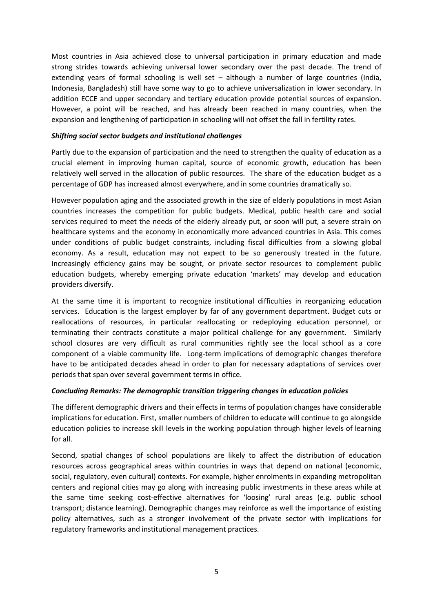Most countries in Asia achieved close to universal participation in primary education and made strong strides towards achieving universal lower secondary over the past decade. The trend of extending years of formal schooling is well set – although a number of large countries (India, Indonesia, Bangladesh) still have some way to go to achieve universalization in lower secondary. In addition ECCE and upper secondary and tertiary education provide potential sources of expansion. However, a point will be reached, and has already been reached in many countries, when the expansion and lengthening of participation in schooling will not offset the fall in fertility rates.

## *Shifting social sector budgets and institutional challenges*

Partly due to the expansion of participation and the need to strengthen the quality of education as a crucial element in improving human capital, source of economic growth, education has been relatively well served in the allocation of public resources. The share of the education budget as a percentage of GDP has increased almost everywhere, and in some countries dramatically so.

However population aging and the associated growth in the size of elderly populations in most Asian countries increases the competition for public budgets. Medical, public health care and social services required to meet the needs of the elderly already put, or soon will put, a severe strain on healthcare systems and the economy in economically more advanced countries in Asia. This comes under conditions of public budget constraints, including fiscal difficulties from a slowing global economy. As a result, education may not expect to be so generously treated in the future. Increasingly efficiency gains may be sought, or private sector resources to complement public education budgets, whereby emerging private education 'markets' may develop and education providers diversify.

At the same time it is important to recognize institutional difficulties in reorganizing education services. Education is the largest employer by far of any government department. Budget cuts or reallocations of resources, in particular reallocating or redeploying education personnel, or terminating their contracts constitute a major political challenge for any government. Similarly school closures are very difficult as rural communities rightly see the local school as a core component of a viable community life. Long-term implications of demographic changes therefore have to be anticipated decades ahead in order to plan for necessary adaptations of services over periods that span over several government terms in office.

#### *Concluding Remarks: The demographic transition triggering changes in education policies*

The different demographic drivers and their effects in terms of population changes have considerable implications for education. First, smaller numbers of children to educate will continue to go alongside education policies to increase skill levels in the working population through higher levels of learning for all.

Second, spatial changes of school populations are likely to affect the distribution of education resources across geographical areas within countries in ways that depend on national (economic, social, regulatory, even cultural) contexts. For example, higher enrolments in expanding metropolitan centers and regional cities may go along with increasing public investments in these areas while at the same time seeking cost-effective alternatives for 'loosing' rural areas (e.g. public school transport; distance learning). Demographic changes may reinforce as well the importance of existing policy alternatives, such as a stronger involvement of the private sector with implications for regulatory frameworks and institutional management practices.